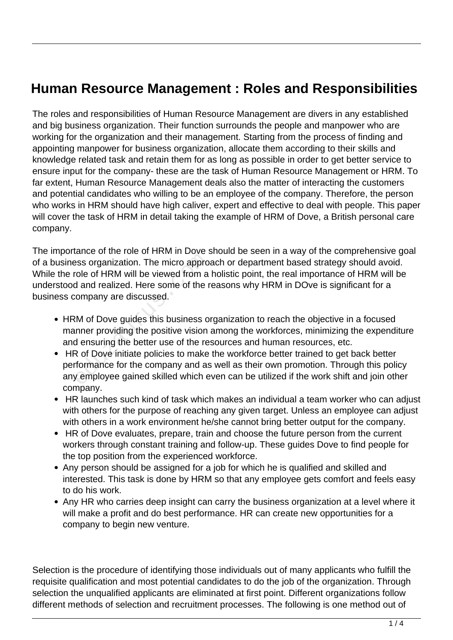## **Human Resource Management : Roles and Responsibilities**

The roles and responsibilities of Human Resource Management are divers in any established and big business organization. Their function surrounds the people and manpower who are working for the organization and their management. Starting from the process of finding and appointing manpower for business organization, allocate them according to their skills and knowledge related task and retain them for as long as possible in order to get better service to ensure input for the company- these are the task of Human Resource Management or HRM. To far extent, Human Resource Management deals also the matter of interacting the customers and potential candidates who willing to be an employee of the company. Therefore, the person who works in HRM should have high caliver, expert and effective to deal with people. This paper will cover the task of HRM in detail taking the example of HRM of Dove, a British personal care company.

The importance of the role of HRM in Dove should be seen in a way of the comprehensive goal of a business organization. The micro approach or department based strategy should avoid. While the role of HRM will be viewed from a holistic point, the real importance of HRM will be understood and realized. Here some of the reasons why HRM in DOve is significant for a business company are discussed. France of HRM will be viewed from a<br>France of HRM will be viewed from a<br>d and realized. Here some of the r<br>company are discussed.<br>Musical of Dove guides this business of<br>numer providing the positive vision<br>d ensuring the b

- HRM of Dove guides this business organization to reach the objective in a focused manner providing the positive vision among the workforces, minimizing the expenditure and ensuring the better use of the resources and human resources, etc.
- HR of Dove initiate policies to make the workforce better trained to get back better performance for the company and as well as their own promotion. Through this policy any employee gained skilled which even can be utilized if the work shift and join other company.
- HR launches such kind of task which makes an individual a team worker who can adjust with others for the purpose of reaching any given target. Unless an employee can adjust with others in a work environment he/she cannot bring better output for the company.
- HR of Dove evaluates, prepare, train and choose the future person from the current workers through constant training and follow-up. These guides Dove to find people for the top position from the experienced workforce.
- Any person should be assigned for a job for which he is qualified and skilled and interested. This task is done by HRM so that any employee gets comfort and feels easy to do his work.
- Any HR who carries deep insight can carry the business organization at a level where it will make a profit and do best performance. HR can create new opportunities for a company to begin new venture.

Selection is the procedure of identifying those individuals out of many applicants who fulfill the requisite qualification and most potential candidates to do the job of the organization. Through selection the unqualified applicants are eliminated at first point. Different organizations follow different methods of selection and recruitment processes. The following is one method out of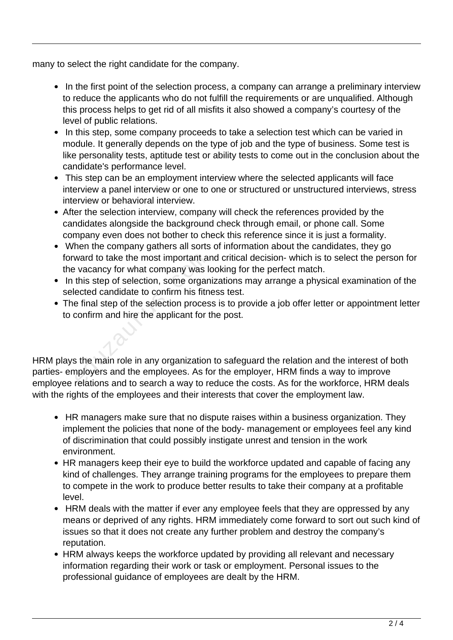many to select the right candidate for the company.

- In the first point of the selection process, a company can arrange a preliminary interview to reduce the applicants who do not fulfill the requirements or are unqualified. Although this process helps to get rid of all misfits it also showed a company's courtesy of the level of public relations.
- In this step, some company proceeds to take a selection test which can be varied in module. It generally depends on the type of job and the type of business. Some test is like personality tests, aptitude test or ability tests to come out in the conclusion about the candidate's performance level.
- This step can be an employment interview where the selected applicants will face interview a panel interview or one to one or structured or unstructured interviews, stress interview or behavioral interview.
- After the selection interview, company will check the references provided by the candidates alongside the background check through email, or phone call. Some company even does not bother to check this reference since it is just a formality.
- When the company gathers all sorts of information about the candidates, they go forward to take the most important and critical decision- which is to select the person for the vacancy for what company was looking for the perfect match.
- In this step of selection, some organizations may arrange a physical examination of the selected candidate to confirm his fitness test.
- The final step of the selection process is to provide a job offer letter or appointment letter to confirm and hire the applicant for the post.

HRM plays the main role in any organization to safeguard the relation and the interest of both parties- employers and the employees. As for the employer, HRM finds a way to improve employee relations and to search a way to reduce the costs. As for the workforce, HRM deals with the rights of the employees and their interests that cover the employment law. ward to take the most important all<br>
vacancy for what company was lit<br>
this step of selection, some organ<br>
ected candidate to confirm his fitn<br>
e final step of the selection proces<br>
confirm and hire the applicant for t<br>
st

- HR managers make sure that no dispute raises within a business organization. They implement the policies that none of the body- management or employees feel any kind of discrimination that could possibly instigate unrest and tension in the work environment.
- HR managers keep their eye to build the workforce updated and capable of facing any kind of challenges. They arrange training programs for the employees to prepare them to compete in the work to produce better results to take their company at a profitable level.
- HRM deals with the matter if ever any employee feels that they are oppressed by any means or deprived of any rights. HRM immediately come forward to sort out such kind of issues so that it does not create any further problem and destroy the company's reputation.
- HRM always keeps the workforce updated by providing all relevant and necessary information regarding their work or task or employment. Personal issues to the professional guidance of employees are dealt by the HRM.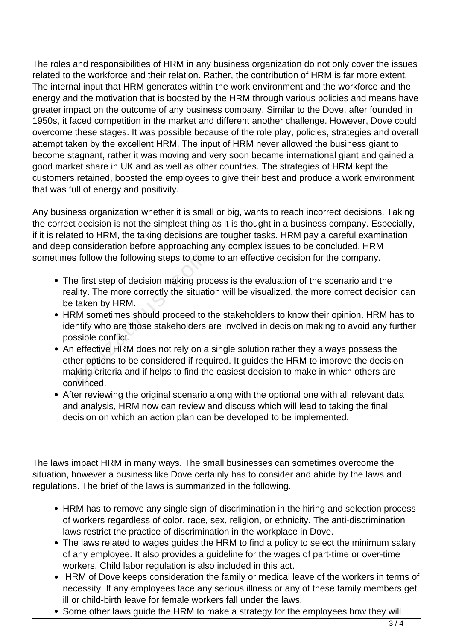The roles and responsibilities of HRM in any business organization do not only cover the issues related to the workforce and their relation. Rather, the contribution of HRM is far more extent. The internal input that HRM generates within the work environment and the workforce and the energy and the motivation that is boosted by the HRM through various policies and means have greater impact on the outcome of any business company. Similar to the Dove, after founded in 1950s, it faced competition in the market and different another challenge. However, Dove could overcome these stages. It was possible because of the role play, policies, strategies and overall attempt taken by the excellent HRM. The input of HRM never allowed the business giant to become stagnant, rather it was moving and very soon became international giant and gained a good market share in UK and as well as other countries. The strategies of HRM kept the customers retained, boosted the employees to give their best and produce a work environment that was full of energy and positivity.

Any business organization whether it is small or big, wants to reach incorrect decisions. Taking the correct decision is not the simplest thing as it is thought in a business company. Especially, if it is related to HRM, the taking decisions are tougher tasks. HRM pay a careful examination and deep consideration before approaching any complex issues to be concluded. HRM sometimes follow the following steps to come to an effective decision for the company.

- The first step of decision making process is the evaluation of the scenario and the reality. The more correctly the situation will be visualized, the more correct decision can be taken by HRM.
- HRM sometimes should proceed to the stakeholders to know their opinion. HRM has to identify who are those stakeholders are involved in decision making to avoid any further possible conflict.
- An effective HRM does not rely on a single solution rather they always possess the other options to be considered if required. It guides the HRM to improve the decision making criteria and if helps to find the easiest decision to make in which others are convinced. is follow the following steps to com<br>
e first step of decision making pro-<br>
lity. The more correctly the situati<br>
taken by HRM.<br>
M sometimes should proceed to t<br>
ntify who are those stakeholders as<br>
sible conflict.<br>
effect
- After reviewing the original scenario along with the optional one with all relevant data and analysis, HRM now can review and discuss which will lead to taking the final decision on which an action plan can be developed to be implemented.

The laws impact HRM in many ways. The small businesses can sometimes overcome the situation, however a business like Dove certainly has to consider and abide by the laws and regulations. The brief of the laws is summarized in the following.

- HRM has to remove any single sign of discrimination in the hiring and selection process of workers regardless of color, race, sex, religion, or ethnicity. The anti-discrimination laws restrict the practice of discrimination in the workplace in Dove.
- The laws related to wages guides the HRM to find a policy to select the minimum salary of any employee. It also provides a guideline for the wages of part-time or over-time workers. Child labor regulation is also included in this act.
- HRM of Dove keeps consideration the family or medical leave of the workers in terms of necessity. If any employees face any serious illness or any of these family members get ill or child-birth leave for female workers fall under the laws.
- Some other laws guide the HRM to make a strategy for the employees how they will